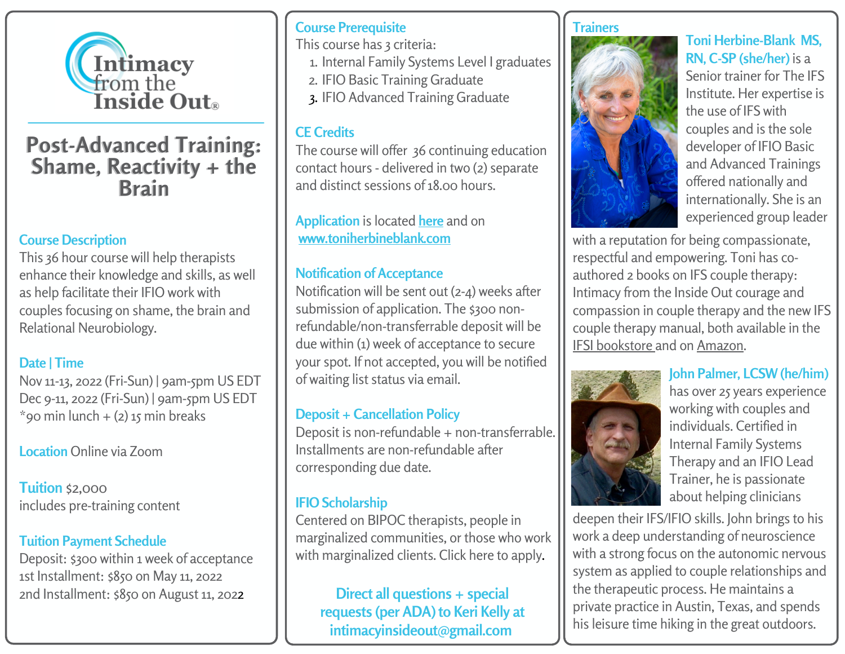

# **Post-Advanced Training: Shame, Reactivity + the Brain**

#### **Course Description**

This 36 hour course will help therapists enhance their knowledge and skills, as well as help facilitate their IFIO work with couples focusing on shame, the brain and Relational Neurobiology.

#### **Date | Time**

Nov 11-13, 2022 (Fri-Sun) | 9am-5pm US EDT Dec 9-11, 2022 (Fri-Sun) | 9am-5pm US EDT  $*$ 90 min lunch + (2) 15 min breaks

**Location** Online via Zoom

**Tuition** \$2,000 includes pre-training content

### **Tuition Payment Schedule**

Deposit: \$300 within 1 week of acceptance 1st Installment: \$850 on May 11, 2022 2nd Installment: \$850 on August 11, 2022

### **Course Prerequisite**

This course has 3 criteria:

- 1. Internal Family Systems Level I graduates
- 2. IFIO Basic Training Graduate
- 3. IFIO Advanced Training Graduate

### **CE Credits**

The course will offer 36 continuing education contact hours - delivered in two (2) separate and distinct sessions of18.00 hours.

**Application** is located **[here](https://docs.google.com/forms/d/e/1FAIpQLSdT3aFr2CGNpjv8b8p2qSiwzUx8GQIjm9CxrRxgSEHFnajbIQ/viewform)** and on **[www.toniherbineblank.com](https://www.toniherbineblank.com/)**

### **Notification of Acceptance**

Notification will be sent out (2-4) weeks after submission of application. The \$300 nonrefundable/non-transferrable deposit will be due within (1) week of acceptance to secure your spot. If not accepted, you will be notified of waiting list status via email.

#### **Deposit + Cancellation Policy**

Deposit is non-refundable + non-transferrable. Installments are non-refundable after corresponding due date.

### **IFIO [Scholarship](https://docs.google.com/forms/d/e/1FAIpQLSd3hXLzqXnE6AOW4121XkW2TkHsVOmjRiFednaohpBZ1oiWaQ/viewform)**

Centered on BIPOC therapists, people in marginalized communities, or those who work with marginalized clients. Click here to [apply.](https://docs.google.com/forms/d/e/1FAIpQLSd3hXLzqXnE6AOW4121XkW2TkHsVOmjRiFednaohpBZ1oiWaQ/viewform)

**Direct all questions + special requests (per ADA) to Keri Kelly at intimacyinsideout@gmail.com**

#### **Trainers**



**Toni Herbine-Blank MS, RN, C-SP (she/her)** is a Senior trainer for The IFS Institute. Her expertise is the use of IFS with couples and is the sole developer of IFIO Basic and Advanced Trainings offered nationally and internationally. She is an experienced group leader

with a reputation for being compassionate, respectful and empowering. Toni has coauthored 2 books on IFS couple therapy: Intimacy from the Inside Out courage and compassion in couple therapy and the new IFS couple therapy manual, both available in the IFSI [bookstore](https://ifs-institute.com/store/author/33) and on [Amazon.](https://www.amazon.com/Books-Toni-Herbine-Blank/s?rh=n%3A283155%2Cp_27%3AToni+Herbine-Blank)



#### **John Palmer, LCSW (he/him)** has over 25 years experience working with couples and individuals. Certified in Internal Family Systems Therapy and an IFIO Lead Trainer, he is passionate about helping clinicians

deepen their IFS/IFIO skills. John brings to his work a deep understanding of neuroscience with a strong focus on the autonomic nervous system as applied to couple relationships and the therapeutic process. He maintains a private practice in Austin, Texas, and spends his leisure time hiking in the great outdoors.